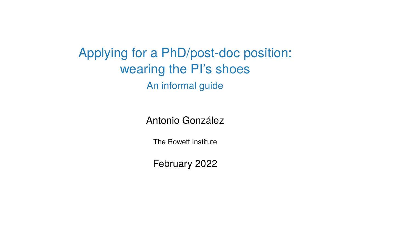Applying for a PhD/post-doc position: wearing the PI's shoes An informal guide

Antonio González

The Rowett Institute

February 2022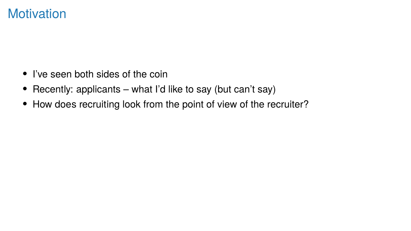#### **Motivation**

- I've seen both sides of the coin
- Recently: applicants what I'd like to say (but can't say)
- How does recruiting look from the point of view of the recruiter?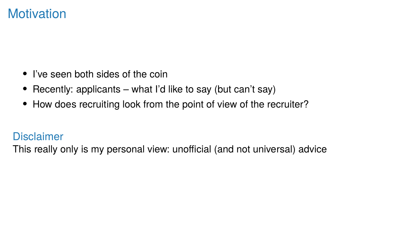#### **Motivation**

- I've seen both sides of the coin
- Recently: applicants what I'd like to say (but can't say)
- How does recruiting look from the point of view of the recruiter?

#### **Disclaimer**

This really only is my personal view: unofficial (and not universal) advice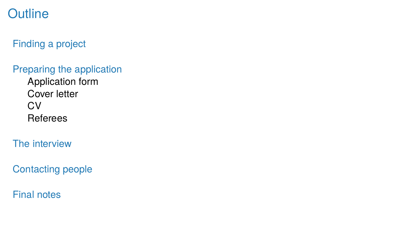## **Outline**

Finding a project

Preparing the application

Application form Cover letter **CV** Referees

The interview

Contacting people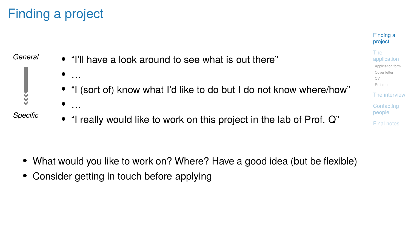## Finding a project



project The application Application form Cover letter CV Referees The interview **Contacting** people Final notes

Finding a

- What would you like to work on? Where? Have a good idea (but be flexible)
- Consider getting in touch before applying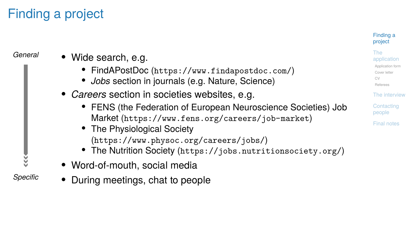# Finding a project

| General       | • Wide search, e.g.<br>• FindAPostDoc (https://www.findapostdoc.com/)<br>• Jobs section in journals (e.g. Nature, Science)                                                                                                                                                                                   |
|---------------|--------------------------------------------------------------------------------------------------------------------------------------------------------------------------------------------------------------------------------------------------------------------------------------------------------------|
|               | • Careers section in societies websites, e.g.<br>• FENS (the Federation of European Neuroscience Societies) Job<br>Market (https://www.fens.org/careers/job-market)<br>• The Physiological Society<br>(https://www.physoc.org/careers/jobs/)<br>• The Nutrition Society (https://jobs.nutritionsociety.org/) |
| š<br>Specific | • Word-of-mouth, social media<br>• During meetings, chat to people                                                                                                                                                                                                                                           |

#### Finding a project

The application Application form Cover letter CV

Referees The interview

Contacting people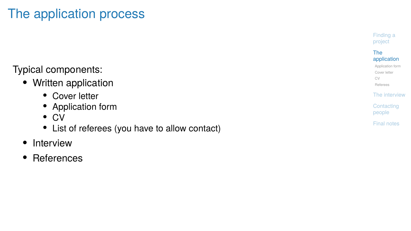# The application process

#### Typical components:

- Written application
	-
	-
	-
	- Cover letter Application form CV List of referees (you have to allow contact)
- Interview
- References

Finding a project

# The application Application form Cover letter CV

Referees The interview

Contacting people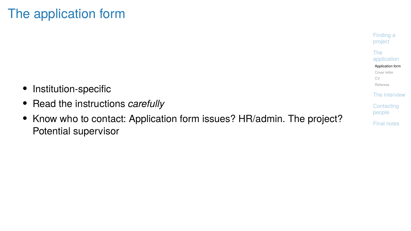# The application form

- Institution-specific
- Read the instructions *carefully*
- Know who to contact: Application form issues? HR/admin. The project? Potential supervisor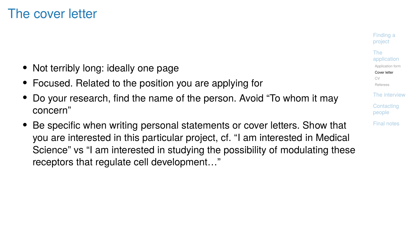#### The cover letter

- Not terribly long: ideally one page
- Focused. Related to the position you are applying for
- Do your research, find the name of the person. Avoid "To whom it may concern"
- Be specific when writing personal statements or cover letters. Show that you are interested in this particular project, cf. "I am interested in Medical Science" vs "I am interested in studying the possibility of modulating these receptors that regulate cell development…"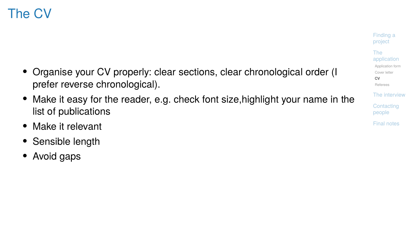## The CV

- Organise your CV properly: clear sections, clear chronological order (I prefer reverse chronological).
- Make it easy for the reader, e.g. check font size,highlight your name in the list of publications
- Make it relevant
- Sensible length
- Avoid gaps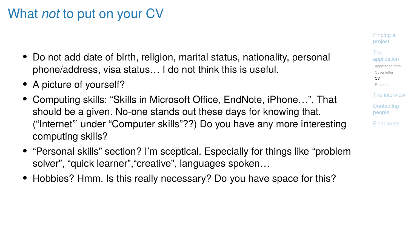#### What *not* to put on your CV

- Do not add date of birth, religion, marital status, nationality, personal phone/address, visa status… I do not think this is useful.
- A picture of yourself?
- Computing skills: "Skills in Microsoft Office, EndNote, iPhone…". That should be a given. No-one stands out these days for knowing that. ("Internet"' under "Computer skills"??) Do you have any more interesting computing skills?
- "Personal skills" section? I'm sceptical. Especially for things like "problem solver", "quick learner","creative", languages spoken…
- Hobbies? Hmm. Is this really necessary? Do you have space for this?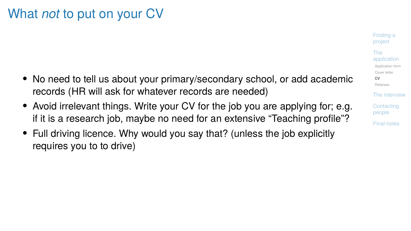## What *not* to put on your CV

- No need to tell us about your primary/secondary school, or add academic records (HR will ask for whatever records are needed)
- Avoid irrelevant things. Write your CV for the job you are applying for; e.g. if it is a research job, maybe no need for an extensive "Teaching profile"?
- Full driving licence. Why would you say that? (unless the job explicitly requires you to to drive)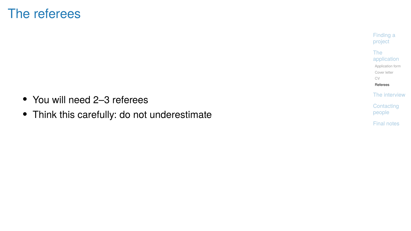## The referees

- You will need 2–3 referees
- Think this carefully: do not underestimate

Finding a project

The application Application form Cover letter CV

Referees The interview

Contacting people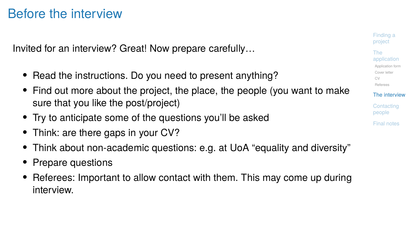## Before the interview

Invited for an interview? Great! Now prepare carefully…

- Read the instructions. Do you need to present anything?
- Find out more about the project, the place, the people (you want to make sure that you like the post/project)
- Try to anticipate some of the questions you'll be asked
- Think: are there gaps in your CV?
- Think about non-academic questions: e.g. at UoA "equality and diversity"
- Prepare questions
- Referees: Important to allow contact with them. This may come up during interview.

Finding a project The application Application form Cover letter CV Referees The interview **Contacting** people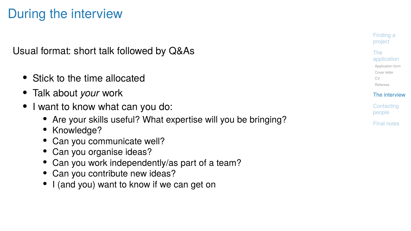## During the interview

Usual format: short talk followed by Q&As

- Stick to the time allocated
- Talk about *your* work
- I want to know what can you do:
	- Are your skills useful? What expertise will you be bringing?<br>• Knowledge?<br>• Can you communicate well?<br>• Can you organise ideas?<br>• Can you work independently/as part of a team?<br>• Can you contribute new ideas?<br>• I (and you
	-
	-
	-
	-
	-
	-

Finding a project The application Application form

Cover letter CV Referees

The interview **Contacting** people Final notes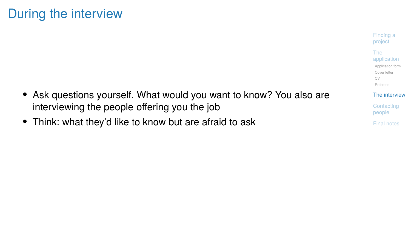## During the interview

- Ask questions yourself. What would you want to know? You also are interviewing the people offering you the job
- Think: what they'd like to know but are afraid to ask

Finding a project The application Application form Cover letter CV Referees The interview

Contacting people Final notes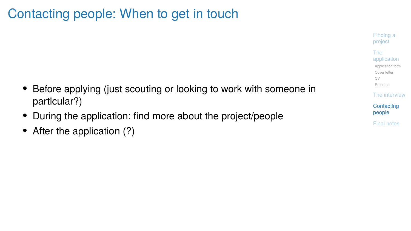# Contacting people: When to get in touch

- Before applying (just scouting or looking to work with someone in particular?)
- During the application: find more about the project/people
- After the application (?)

Finding a project The application Application form Cover letter CV Referees

The interview **Contacting** people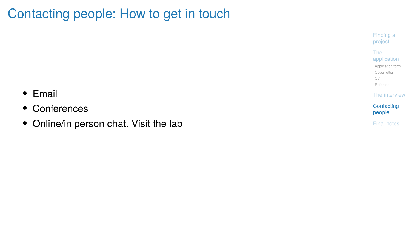# Contacting people: How to get in touch

- Email
- Conferences
- Online/in person chat. Visit the lab

Finding a project

The application Application form Cover letter CV

Referees The interview

Contacting people Final notes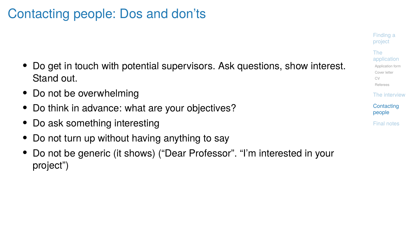## Contacting people: Dos and don'ts

- Do get in touch with potential supervisors. Ask questions, show interest. Stand out.
- Do not be overwhelming
- Do think in advance: what are your objectives?
- Do ask something interesting
- Do not turn up without having anything to say
- Do not be generic (it shows) ("Dear Professor". "I'm interested in your project")

Finding a project The application Application form Cover letter CV Referees The interview **Contacting** people